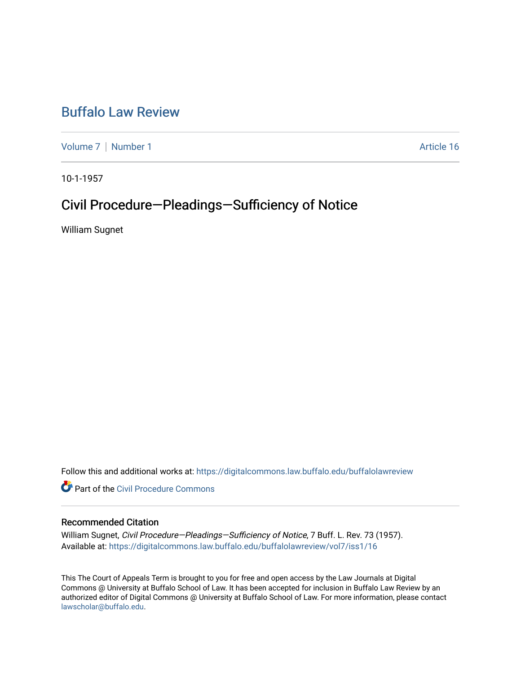## [Buffalo Law Review](https://digitalcommons.law.buffalo.edu/buffalolawreview)

[Volume 7](https://digitalcommons.law.buffalo.edu/buffalolawreview/vol7) | [Number 1](https://digitalcommons.law.buffalo.edu/buffalolawreview/vol7/iss1) Article 16

10-1-1957

# Civil Procedure—Pleadings—Sufficiency of Notice

William Sugnet

Follow this and additional works at: [https://digitalcommons.law.buffalo.edu/buffalolawreview](https://digitalcommons.law.buffalo.edu/buffalolawreview?utm_source=digitalcommons.law.buffalo.edu%2Fbuffalolawreview%2Fvol7%2Fiss1%2F16&utm_medium=PDF&utm_campaign=PDFCoverPages) 

**P** Part of the Civil Procedure Commons

### Recommended Citation

William Sugnet, Civil Procedure-Pleadings-Sufficiency of Notice, 7 Buff. L. Rev. 73 (1957). Available at: [https://digitalcommons.law.buffalo.edu/buffalolawreview/vol7/iss1/16](https://digitalcommons.law.buffalo.edu/buffalolawreview/vol7/iss1/16?utm_source=digitalcommons.law.buffalo.edu%2Fbuffalolawreview%2Fvol7%2Fiss1%2F16&utm_medium=PDF&utm_campaign=PDFCoverPages) 

This The Court of Appeals Term is brought to you for free and open access by the Law Journals at Digital Commons @ University at Buffalo School of Law. It has been accepted for inclusion in Buffalo Law Review by an authorized editor of Digital Commons @ University at Buffalo School of Law. For more information, please contact [lawscholar@buffalo.edu](mailto:lawscholar@buffalo.edu).